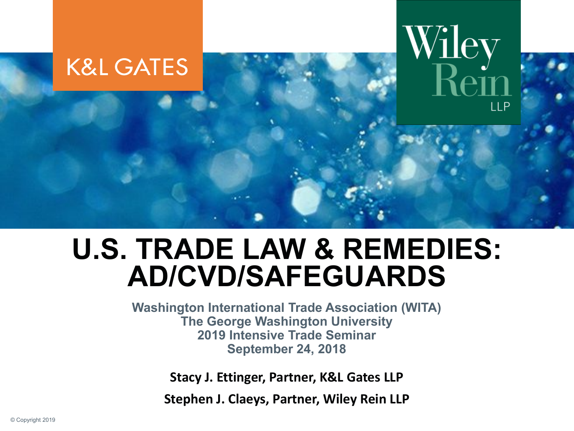

#### **U.S. TRADE LAW & REMEDIES: AD/CVD/SAFEGUARDS**

**Washington International Trade Association (WITA) The George Washington University 2019 Intensive Trade Seminar September 24, 2018**

**Stacy J. Ettinger, Partner, K&L Gates LLP**

**Stephen J. Claeys, Partner, Wiley Rein LLP**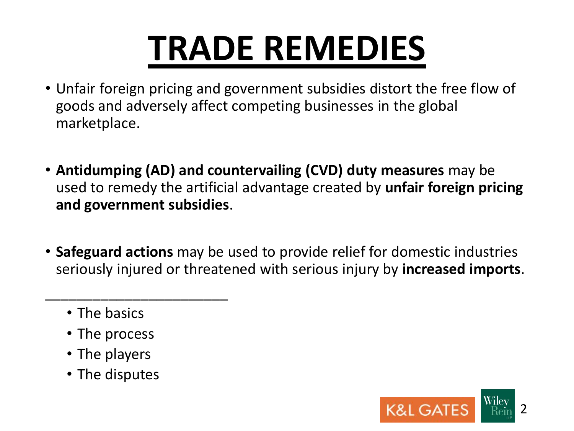## **TRADE REMEDIES**

- Unfair foreign pricing and government subsidies distort the free flow of goods and adversely affect competing businesses in the global marketplace.
- **Antidumping (AD) and countervailing (CVD) duty measures** may be used to remedy the artificial advantage created by **unfair foreign pricing and government subsidies**.
- **Safeguard actions** may be used to provide relief for domestic industries seriously injured or threatened with serious injury by **increased imports**.
	- The basics
	- The process

\_\_\_\_\_\_\_\_\_\_\_\_\_\_\_\_\_\_\_\_\_\_\_

- The players
- The disputes

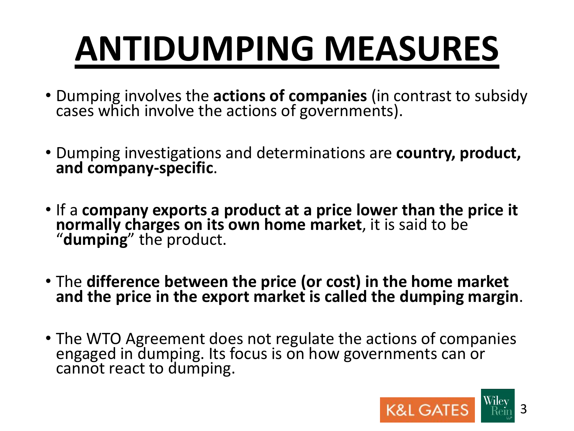# **ANTIDUMPING MEASURES**

- Dumping involves the **actions of companies** (in contrast to subsidy cases which involve the actions of governments).
- Dumping investigations and determinations are **country, product, and company-specific**.
- If a **company exports a product at a price lower than the price it normally charges on its own home market**, it is said to be "**dumping**" the product.
- The **difference between the price (or cost) in the home market and the price in the export market is called the dumping margin**.
- The WTO Agreement does not regulate the actions of companies engaged in dumping. Its focus is on how governments can or cannot react to dumping.

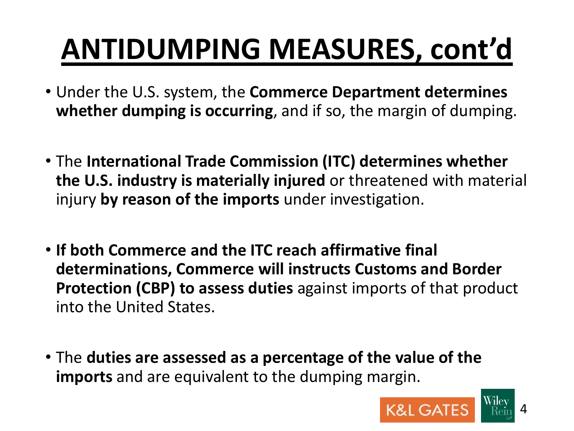## **ANTIDUMPING MEASURES, cont'd**

- Under the U.S. system, the **Commerce Department determines whether dumping is occurring**, and if so, the margin of dumping.
- The **International Trade Commission (ITC) determines whether the U.S. industry is materially injured** or threatened with material injury **by reason of the imports** under investigation.
- **If both Commerce and the ITC reach affirmative final determinations, Commerce will instructs Customs and Border Protection (CBP) to assess duties** against imports of that product into the United States.
- The **duties are assessed as a percentage of the value of the imports** and are equivalent to the dumping margin.

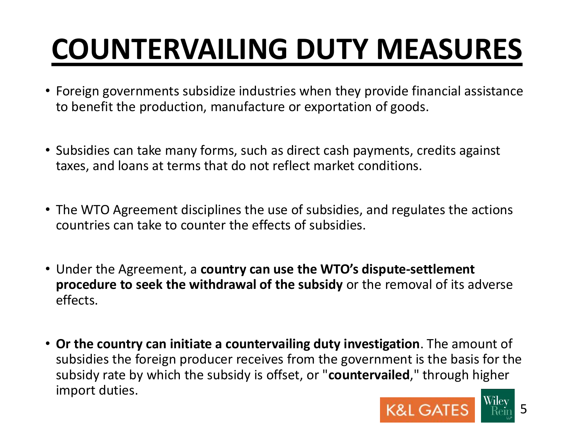## **COUNTERVAILING DUTY MEASURES**

- Foreign governments subsidize industries when they provide financial assistance to benefit the production, manufacture or exportation of goods.
- Subsidies can take many forms, such as direct cash payments, credits against taxes, and loans at terms that do not reflect market conditions.
- The WTO Agreement disciplines the use of subsidies, and regulates the actions countries can take to counter the effects of subsidies.
- Under the Agreement, a **country can use the WTO's dispute-settlement procedure to seek the withdrawal of the subsidy** or the removal of its adverse effects.
- **Or the country can initiate a countervailing duty investigation**. The amount of subsidies the foreign producer receives from the government is the basis for the subsidy rate by which the subsidy is offset, or "**countervailed**," through higher import duties.

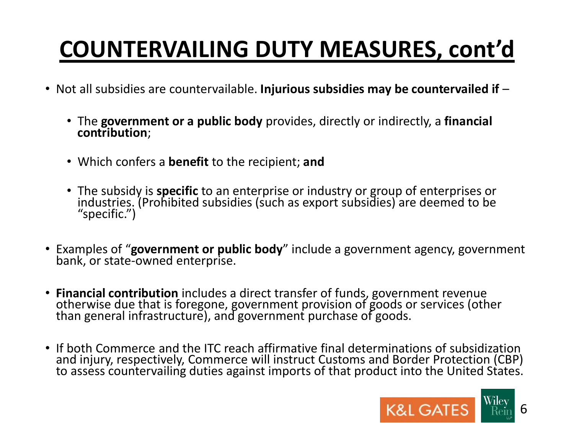#### **COUNTERVAILING DUTY MEASURES, cont'd**

- Not all subsidies are countervailable. **Injurious subsidies may be countervailed if**
	- The **government or a public body** provides, directly or indirectly, a **financial contribution**;
	- Which confers a **benefit** to the recipient; **and**
	- The subsidy is **specific** to an enterprise or industry or group of enterprises or industries. (Prohibited subsidies (such as export subsidies) are deemed to be "specific.")
- Examples of "**government or public body**" include a government agency, government bank, or state-owned enterprise.
- **Financial contribution** includes a direct transfer of funds, government revenue otherwise due that is foregone, government provision of goods or services (other than general infrastructure), and government purchase of goods.
- If both Commerce and the ITC reach affirmative final determinations of subsidization and injury, respectively, Commerce will instruct Customs and Border Protection (CBP) to assess countervailing duties against imports of that product into the United States.

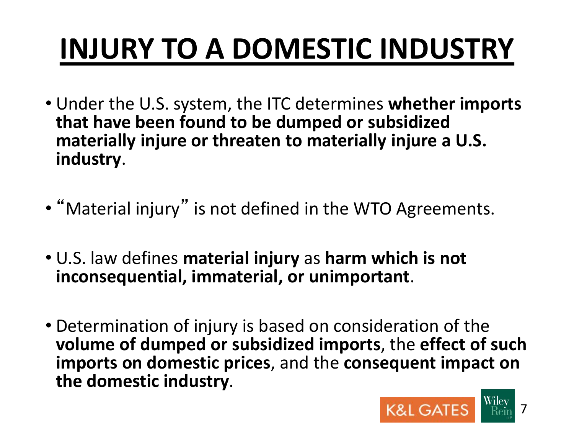## **INJURY TO A DOMESTIC INDUSTRY**

- Under the U.S. system, the ITC determines **whether imports that have been found to be dumped or subsidized materially injure or threaten to materially injure a U.S. industry**.
- "Material injury" is not defined in the WTO Agreements.
- U.S. law defines **material injury** as **harm which is not inconsequential, immaterial, or unimportant**.
- Determination of injury is based on consideration of the **volume of dumped or subsidized imports**, the **effect of such imports on domestic prices**, and the **consequent impact on the domestic industry**.

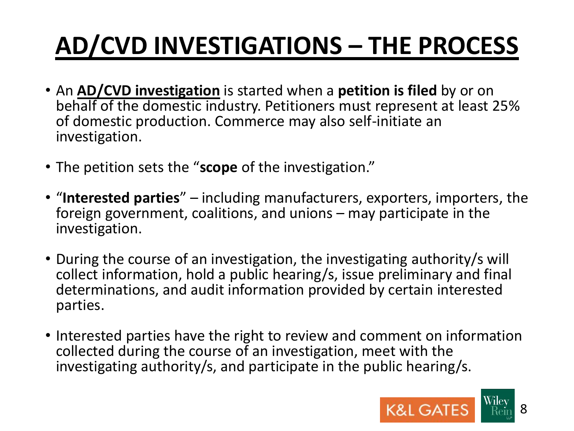### **AD/CVD INVESTIGATIONS – THE PROCESS**

- An **AD/CVD investigation** is started when a **petition is filed** by or on behalf of the domestic industry. Petitioners must represent at least 25% of domestic production. Commerce may also self-initiate an investigation.
- The petition sets the "**scope** of the investigation."
- "**Interested parties**" including manufacturers, exporters, importers, the foreign government, coalitions, and unions – may participate in the investigation.
- During the course of an investigation, the investigating authority/s will collect information, hold a public hearing/s, issue preliminary and final determinations, and audit information provided by certain interested parties.
- Interested parties have the right to review and comment on information collected during the course of an investigation, meet with the investigating authority/s, and participate in the public hearing/s.

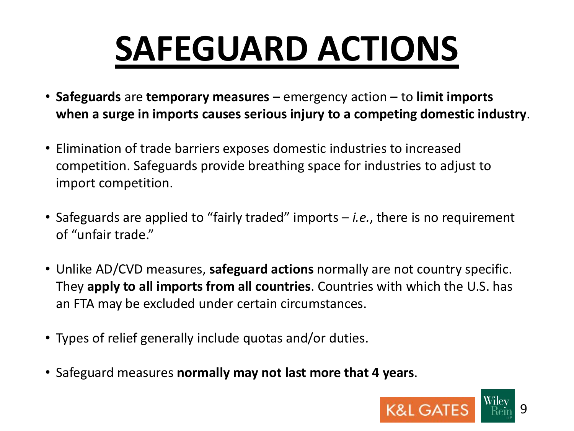# **SAFEGUARD ACTIONS**

- **Safeguards** are **temporary measures**  emergency action to **limit imports when a surge in imports causes serious injury to a competing domestic industry**.
- Elimination of trade barriers exposes domestic industries to increased competition. Safeguards provide breathing space for industries to adjust to import competition.
- Safeguards are applied to "fairly traded" imports *i.e.*, there is no requirement of "unfair trade."
- Unlike AD/CVD measures, **safeguard actions** normally are not country specific. They **apply to all imports from all countries**. Countries with which the U.S. has an FTA may be excluded under certain circumstances.
- Types of relief generally include quotas and/or duties.
- Safeguard measures **normally may not last more that 4 years**.

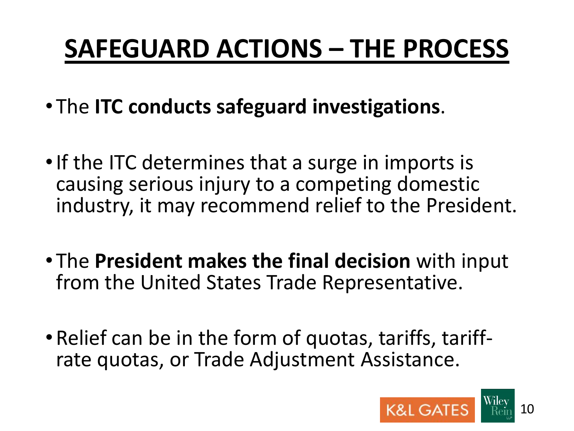### **SAFEGUARD ACTIONS – THE PROCESS**

- The **ITC conducts safeguard investigations**.
- If the ITC determines that a surge in imports is causing serious injury to a competing domestic industry, it may recommend relief to the President.
- The **President makes the final decision** with input from the United States Trade Representative.
- Relief can be in the form of quotas, tariffs, tariffrate quotas, or Trade Adjustment Assistance.

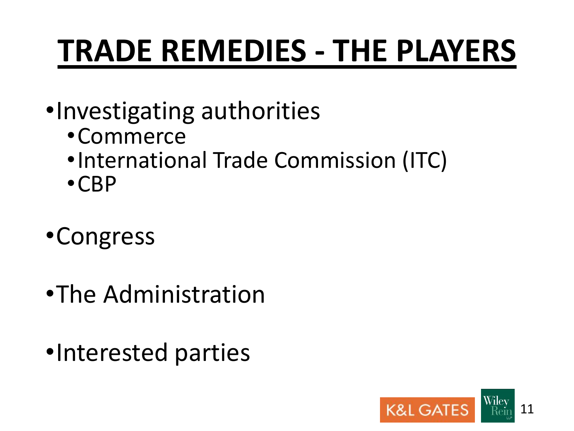## **TRADE REMEDIES - THE PLAYERS**

- •Investigating authorities
	- •Commerce
	- •International Trade Commission (ITC)
	- •CBP
- •Congress
- •The Administration
- •Interested parties

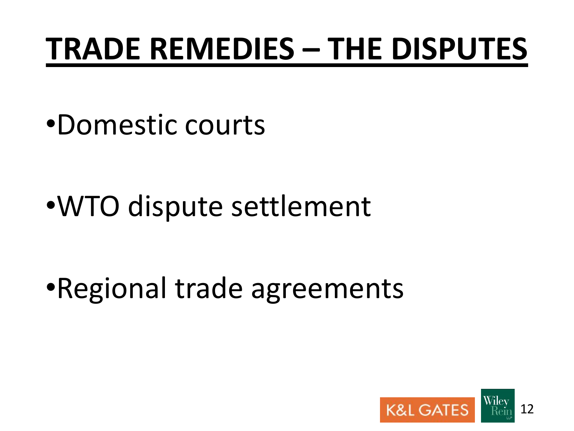## **TRADE REMEDIES – THE DISPUTES**

•Domestic courts

•WTO dispute settlement

•Regional trade agreements